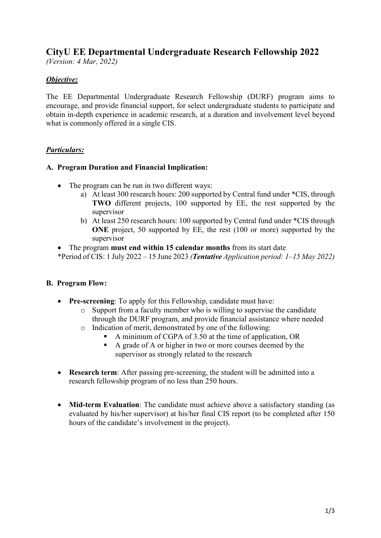# **CityU EE Departmental Undergraduate Research Fellowship 2022**

*(Version: 4 Mar, 2022)*

# *Objective:*

The EE Departmental Undergraduate Research Fellowship (DURF) program aims to encourage, and provide financial support, for select undergraduate students to participate and obtain in-depth experience in academic research, at a duration and involvement level beyond what is commonly offered in a single CIS.

## *Particulars:*

### **A. Program Duration and Financial Implication:**

- The program can be run in two different ways:
	- a) At least 300 research hours: 200 supported by Central fund under \*CIS, through **TWO** different projects, 100 supported by EE, the rest supported by the supervisor
	- b) At least 250 research hours: 100 supported by Central fund under \*CIS through **ONE** project, 50 supported by EE, the rest (100 or more) supported by the supervisor
- The program **must end within 15 calendar months** from its start date

\*Period of CIS: 1 July 2022 – 15 June 2023 *(Tentative Application period: 1–15 May 2022)*

#### **B. Program Flow:**

- **Pre-screening**: To apply for this Fellowship, candidate must have:
	- o Support from a faculty member who is willing to supervise the candidate through the DURF program, and provide financial assistance where needed
	- o Indication of merit, demonstrated by one of the following:
		- A minimum of CGPA of 3.50 at the time of application, OR
		- A grade of A or higher in two or more courses deemed by the supervisor as strongly related to the research
- **Research term**: After passing pre-screening, the student will be admitted into a research fellowship program of no less than 250 hours.
- **Mid-term Evaluation**: The candidate must achieve above a satisfactory standing (as evaluated by his/her supervisor) at his/her final CIS report (to be completed after 150 hours of the candidate's involvement in the project).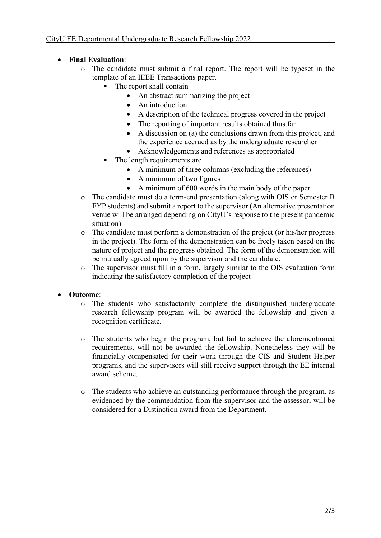- **Final Evaluation**:
	- o The candidate must submit a final report. The report will be typeset in the template of an IEEE Transactions paper.
		- The report shall contain
			- An abstract summarizing the project
			- An introduction
			- A description of the technical progress covered in the project
			- The reporting of important results obtained thus far
			- A discussion on (a) the conclusions drawn from this project, and the experience accrued as by the undergraduate researcher
			- Acknowledgements and references as appropriated
		- The length requirements are
			- A minimum of three columns (excluding the references)
			- A minimum of two figures
			- A minimum of 600 words in the main body of the paper
	- o The candidate must do a term-end presentation (along with OIS or Semester B FYP students) and submit a report to the supervisor (An alternative presentation venue will be arranged depending on CityU's response to the present pandemic situation)
	- o The candidate must perform a demonstration of the project (or his/her progress in the project). The form of the demonstration can be freely taken based on the nature of project and the progress obtained. The form of the demonstration will be mutually agreed upon by the supervisor and the candidate.
	- o The supervisor must fill in a form, largely similar to the OIS evaluation form indicating the satisfactory completion of the project

#### • **Outcome**:

- o The students who satisfactorily complete the distinguished undergraduate research fellowship program will be awarded the fellowship and given a recognition certificate.
- o The students who begin the program, but fail to achieve the aforementioned requirements, will not be awarded the fellowship. Nonetheless they will be financially compensated for their work through the CIS and Student Helper programs, and the supervisors will still receive support through the EE internal award scheme.
- o The students who achieve an outstanding performance through the program, as evidenced by the commendation from the supervisor and the assessor, will be considered for a Distinction award from the Department.